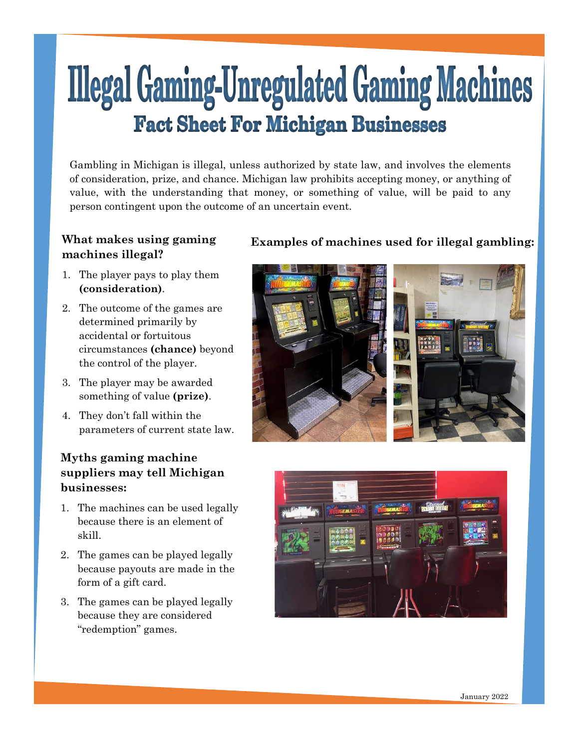# **Illegal Gaming-Unregulated Gaming Machines Fact Sheet For Michigan Businesses**

Gambling in Michigan is illegal, unless authorized by state law, and involves the elements of consideration, prize, and chance. Michigan law prohibits accepting money, or anything of value, with the understanding that money, or something of value, will be paid to any person contingent upon the outcome of an uncertain event.

# **machines illegal?**

- 1. The player pays to play them **(consideration)**.
- 2. The outcome of the games are determined primarily by accidental or fortuitous circumstances **(chance)** beyond the control of the player.
- 3. The player may be awarded something of value **(prize)**.
- 4. They don't fall within the parameters of current state law.

## **Myths gaming machine suppliers may tell Michigan businesses:**

- 1. The machines can be used legally because there is an element of skill.
- 2. The games can be played legally because payouts are made in the form of a gift card.
- 3. The games can be played legally because they are considered "redemption" games.

# **What makes using gaming Examples of machines used for illegal gambling:**